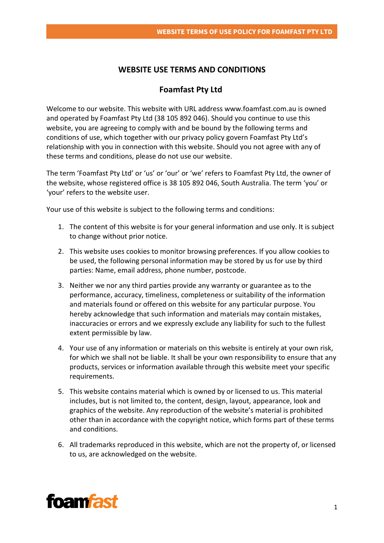## **WEBSITE USE TERMS AND CONDITIONS**

## **Foamfast Pty Ltd**

Welcome to our website. This website with URL address www.foamfast.com.au is owned and operated by Foamfast Pty Ltd (38 105 892 046). Should you continue to use this website, you are agreeing to comply with and be bound by the following terms and conditions of use, which together with our privacy policy govern Foamfast Pty Ltd's relationship with you in connection with this website. Should you not agree with any of these terms and conditions, please do not use our website.

The term 'Foamfast Pty Ltd' or 'us' or 'our' or 'we' refers to Foamfast Pty Ltd, the owner of the website, whose registered office is 38 105 892 046, South Australia. The term 'you' or 'your' refers to the website user.

Your use of this website is subject to the following terms and conditions:

- 1. The content of this website is for your general information and use only. It is subject to change without prior notice.
- 2. This website uses cookies to monitor browsing preferences. If you allow cookies to be used, the following personal information may be stored by us for use by third parties: Name, email address, phone number, postcode.
- 3. Neither we nor any third parties provide any warranty or guarantee as to the performance, accuracy, timeliness, completeness or suitability of the information and materials found or offered on this website for any particular purpose. You hereby acknowledge that such information and materials may contain mistakes, inaccuracies or errors and we expressly exclude any liability for such to the fullest extent permissible by law.
- 4. Your use of any information or materials on this website is entirely at your own risk, for which we shall not be liable. It shall be your own responsibility to ensure that any products, services or information available through this website meet your specific requirements.
- 5. This website contains material which is owned by or licensed to us. This material includes, but is not limited to, the content, design, layout, appearance, look and graphics of the website. Any reproduction of the website's material is prohibited other than in accordance with the copyright notice, which forms part of these terms and conditions.
- 6. All trademarks reproduced in this website, which are not the property of, or licensed to us, are acknowledged on the website.

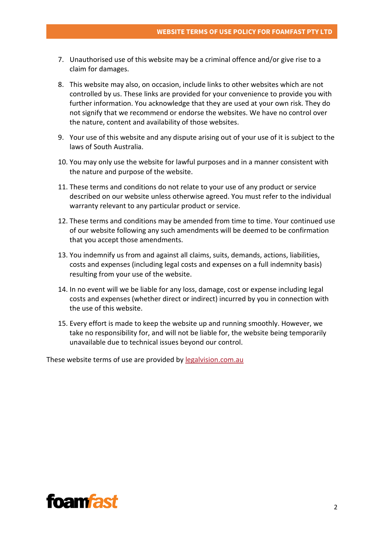- 7. Unauthorised use of this website may be a criminal offence and/or give rise to a claim for damages.
- 8. This website may also, on occasion, include links to other websites which are not controlled by us. These links are provided for your convenience to provide you with further information. You acknowledge that they are used at your own risk. They do not signify that we recommend or endorse the websites. We have no control over the nature, content and availability of those websites.
- 9. Your use of this website and any dispute arising out of your use of it is subject to the laws of South Australia.
- 10. You may only use the website for lawful purposes and in a manner consistent with the nature and purpose of the website.
- 11. These terms and conditions do not relate to your use of any product or service described on our website unless otherwise agreed. You must refer to the individual warranty relevant to any particular product or service.
- 12. These terms and conditions may be amended from time to time. Your continued use of our website following any such amendments will be deemed to be confirmation that you accept those amendments.
- 13. You indemnify us from and against all claims, suits, demands, actions, liabilities, costs and expenses (including legal costs and expenses on a full indemnity basis) resulting from your use of the website.
- 14. In no event will we be liable for any loss, damage, cost or expense including legal costs and expenses (whether direct or indirect) incurred by you in connection with the use of this website.
- 15. Every effort is made to keep the website up and running smoothly. However, we take no responsibility for, and will not be liable for, the website being temporarily unavailable due to technical issues beyond our control.

These website terms of use are provided by [legalvision.com.au](https://legalvision.com.au/)